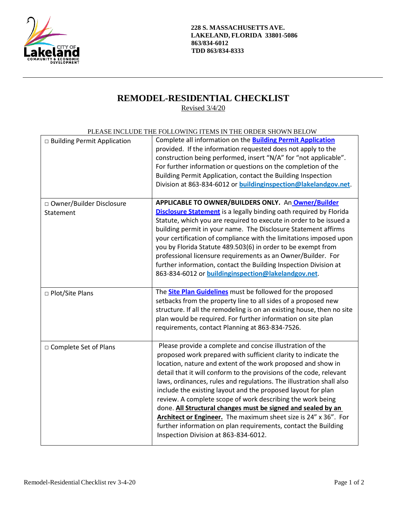

**228 S. MASSACHUSETTS AVE. LAKELAND, FLORIDA 33801-5086 863/834-6012 TDD 863/834-8333**

## **REMODEL-RESIDENTIAL CHECKLIST**

Revised 3/4/20

| PLEASE INCLUDE THE FOLLOWING ITEMS IN THE ORDER SHOWN BELOW |  |
|-------------------------------------------------------------|--|
|                                                             |  |

| □ Building Permit Application           | Complete all information on the <b>Building Permit Application</b><br>provided. If the information requested does not apply to the<br>construction being performed, insert "N/A" for "not applicable".<br>For further information or questions on the completion of the<br>Building Permit Application, contact the Building Inspection<br>Division at 863-834-6012 or <b>buildinginspection@lakelandgov.net</b> .                                                                                                                                                                                                                                                                                                    |
|-----------------------------------------|-----------------------------------------------------------------------------------------------------------------------------------------------------------------------------------------------------------------------------------------------------------------------------------------------------------------------------------------------------------------------------------------------------------------------------------------------------------------------------------------------------------------------------------------------------------------------------------------------------------------------------------------------------------------------------------------------------------------------|
| □ Owner/Builder Disclosure<br>Statement | APPLICABLE TO OWNER/BUILDERS ONLY. An Owner/Builder<br><b>Disclosure Statement</b> is a legally binding oath required by Florida<br>Statute, which you are required to execute in order to be issued a<br>building permit in your name. The Disclosure Statement affirms<br>your certification of compliance with the limitations imposed upon<br>you by Florida Statute 489.503(6) in order to be exempt from<br>professional licensure requirements as an Owner/Builder. For<br>further information, contact the Building Inspection Division at<br>863-834-6012 or buildinginspection@lakelandgov.net.                                                                                                             |
| □ Plot/Site Plans                       | The <b>Site Plan Guidelines</b> must be followed for the proposed<br>setbacks from the property line to all sides of a proposed new<br>structure. If all the remodeling is on an existing house, then no site<br>plan would be required. For further information on site plan<br>requirements, contact Planning at 863-834-7526.                                                                                                                                                                                                                                                                                                                                                                                      |
| □ Complete Set of Plans                 | Please provide a complete and concise illustration of the<br>proposed work prepared with sufficient clarity to indicate the<br>location, nature and extent of the work proposed and show in<br>detail that it will conform to the provisions of the code, relevant<br>laws, ordinances, rules and regulations. The illustration shall also<br>include the existing layout and the proposed layout for plan<br>review. A complete scope of work describing the work being<br>done. All Structural changes must be signed and sealed by an<br>Architect or Engineer. The maximum sheet size is 24" x 36". For<br>further information on plan requirements, contact the Building<br>Inspection Division at 863-834-6012. |